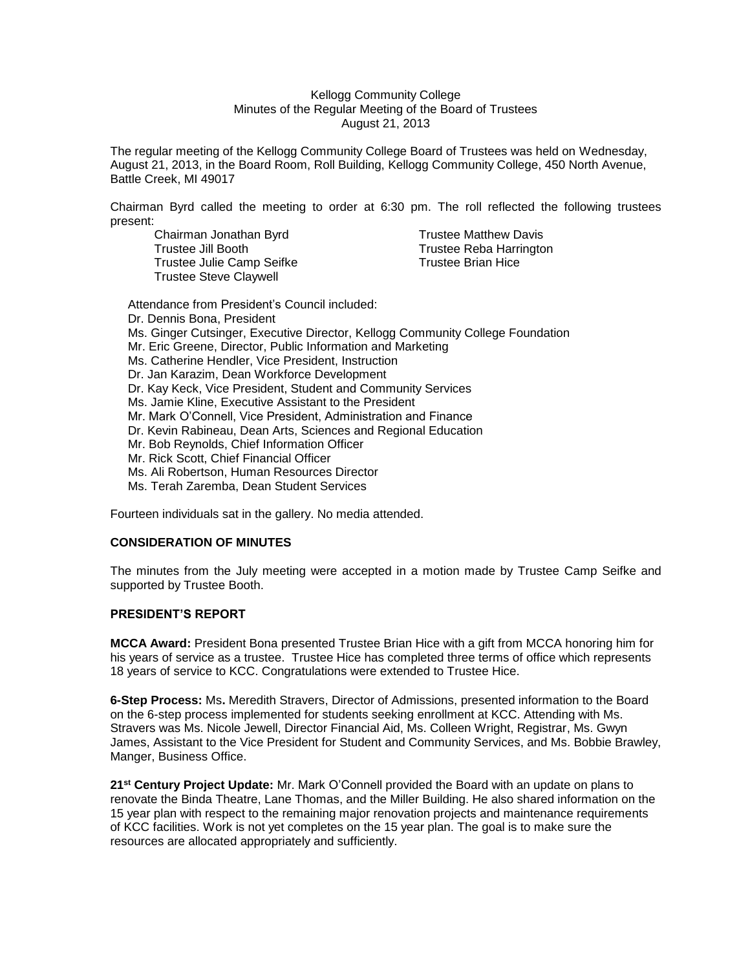### Kellogg Community College Minutes of the Regular Meeting of the Board of Trustees August 21, 2013

The regular meeting of the Kellogg Community College Board of Trustees was held on Wednesday, August 21, 2013, in the Board Room, Roll Building, Kellogg Community College, 450 North Avenue, Battle Creek, MI 49017

Chairman Byrd called the meeting to order at 6:30 pm. The roll reflected the following trustees present:

Trustee Jill Booth Trustee Reba Harrington Trustee Julie Camp Seifke Trustee Brian Hice Trustee Steve Claywell

Chairman Jonathan Byrd Trustee Matthew Davis

Attendance from President's Council included: Dr. Dennis Bona, President Ms. Ginger Cutsinger, Executive Director, Kellogg Community College Foundation Mr. Eric Greene, Director, Public Information and Marketing Ms. Catherine Hendler, Vice President, Instruction Dr. Jan Karazim, Dean Workforce Development Dr. Kay Keck, Vice President, Student and Community Services Ms. Jamie Kline, Executive Assistant to the President Mr. Mark O'Connell, Vice President, Administration and Finance Dr. Kevin Rabineau, Dean Arts, Sciences and Regional Education Mr. Bob Reynolds, Chief Information Officer Mr. Rick Scott, Chief Financial Officer Ms. Ali Robertson, Human Resources Director

Ms. Terah Zaremba, Dean Student Services

Fourteen individuals sat in the gallery. No media attended.

# **CONSIDERATION OF MINUTES**

The minutes from the July meeting were accepted in a motion made by Trustee Camp Seifke and supported by Trustee Booth.

# **PRESIDENT'S REPORT**

**MCCA Award:** President Bona presented Trustee Brian Hice with a gift from MCCA honoring him for his years of service as a trustee. Trustee Hice has completed three terms of office which represents 18 years of service to KCC. Congratulations were extended to Trustee Hice.

**6-Step Process:** Ms**.** Meredith Stravers, Director of Admissions, presented information to the Board on the 6-step process implemented for students seeking enrollment at KCC. Attending with Ms. Stravers was Ms. Nicole Jewell, Director Financial Aid, Ms. Colleen Wright, Registrar, Ms. Gwyn James, Assistant to the Vice President for Student and Community Services, and Ms. Bobbie Brawley, Manger, Business Office.

**21st Century Project Update:** Mr. Mark O'Connell provided the Board with an update on plans to renovate the Binda Theatre, Lane Thomas, and the Miller Building. He also shared information on the 15 year plan with respect to the remaining major renovation projects and maintenance requirements of KCC facilities. Work is not yet completes on the 15 year plan. The goal is to make sure the resources are allocated appropriately and sufficiently.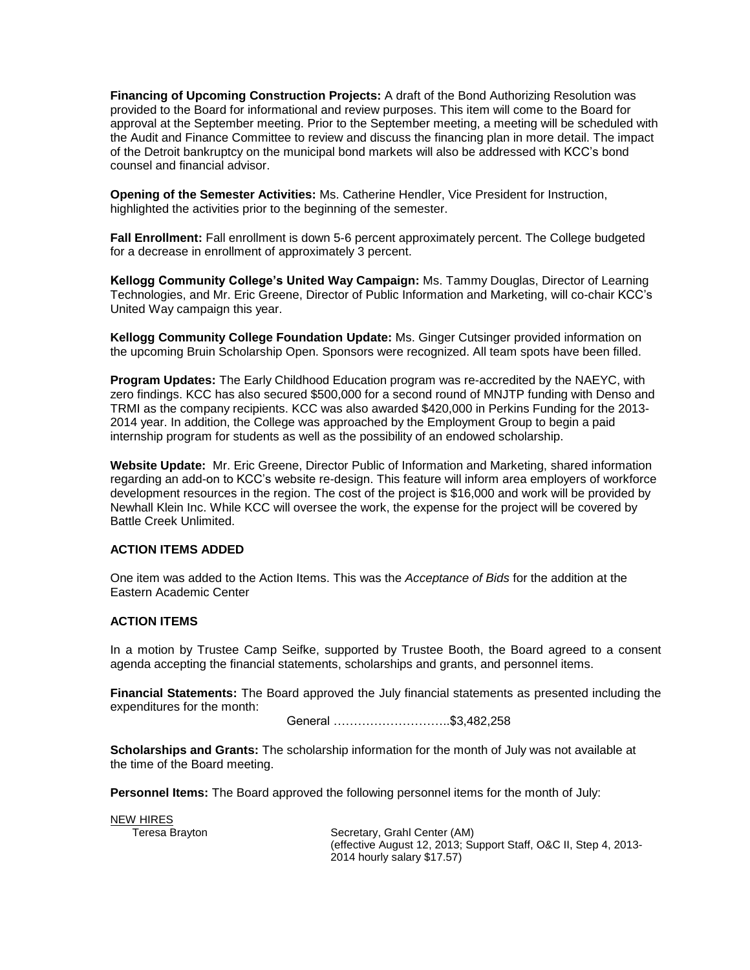**Financing of Upcoming Construction Projects:** A draft of the Bond Authorizing Resolution was provided to the Board for informational and review purposes. This item will come to the Board for approval at the September meeting. Prior to the September meeting, a meeting will be scheduled with the Audit and Finance Committee to review and discuss the financing plan in more detail. The impact of the Detroit bankruptcy on the municipal bond markets will also be addressed with KCC's bond counsel and financial advisor.

**Opening of the Semester Activities:** Ms. Catherine Hendler, Vice President for Instruction, highlighted the activities prior to the beginning of the semester.

**Fall Enrollment:** Fall enrollment is down 5-6 percent approximately percent. The College budgeted for a decrease in enrollment of approximately 3 percent.

**Kellogg Community College's United Way Campaign:** Ms. Tammy Douglas, Director of Learning Technologies, and Mr. Eric Greene, Director of Public Information and Marketing, will co-chair KCC's United Way campaign this year.

**Kellogg Community College Foundation Update:** Ms. Ginger Cutsinger provided information on the upcoming Bruin Scholarship Open. Sponsors were recognized. All team spots have been filled.

**Program Updates:** The Early Childhood Education program was re-accredited by the NAEYC, with zero findings. KCC has also secured \$500,000 for a second round of MNJTP funding with Denso and TRMI as the company recipients. KCC was also awarded \$420,000 in Perkins Funding for the 2013- 2014 year. In addition, the College was approached by the Employment Group to begin a paid internship program for students as well as the possibility of an endowed scholarship.

**Website Update:** Mr. Eric Greene, Director Public of Information and Marketing, shared information regarding an add-on to KCC's website re-design. This feature will inform area employers of workforce development resources in the region. The cost of the project is \$16,000 and work will be provided by Newhall Klein Inc. While KCC will oversee the work, the expense for the project will be covered by Battle Creek Unlimited.

# **ACTION ITEMS ADDED**

One item was added to the Action Items. This was the *Acceptance of Bids* for the addition at the Eastern Academic Center

### **ACTION ITEMS**

In a motion by Trustee Camp Seifke, supported by Trustee Booth, the Board agreed to a consent agenda accepting the financial statements, scholarships and grants, and personnel items.

**Financial Statements:** The Board approved the July financial statements as presented including the expenditures for the month:

General ………………………..\$3,482,258

**Scholarships and Grants:** The scholarship information for the month of July was not available at the time of the Board meeting.

**Personnel Items:** The Board approved the following personnel items for the month of July:

**NEW HIRES**<br>Teresa Brayton

Secretary, Grahl Center (AM) (effective August 12, 2013; Support Staff, O&C II, Step 4, 2013- 2014 hourly salary \$17.57)